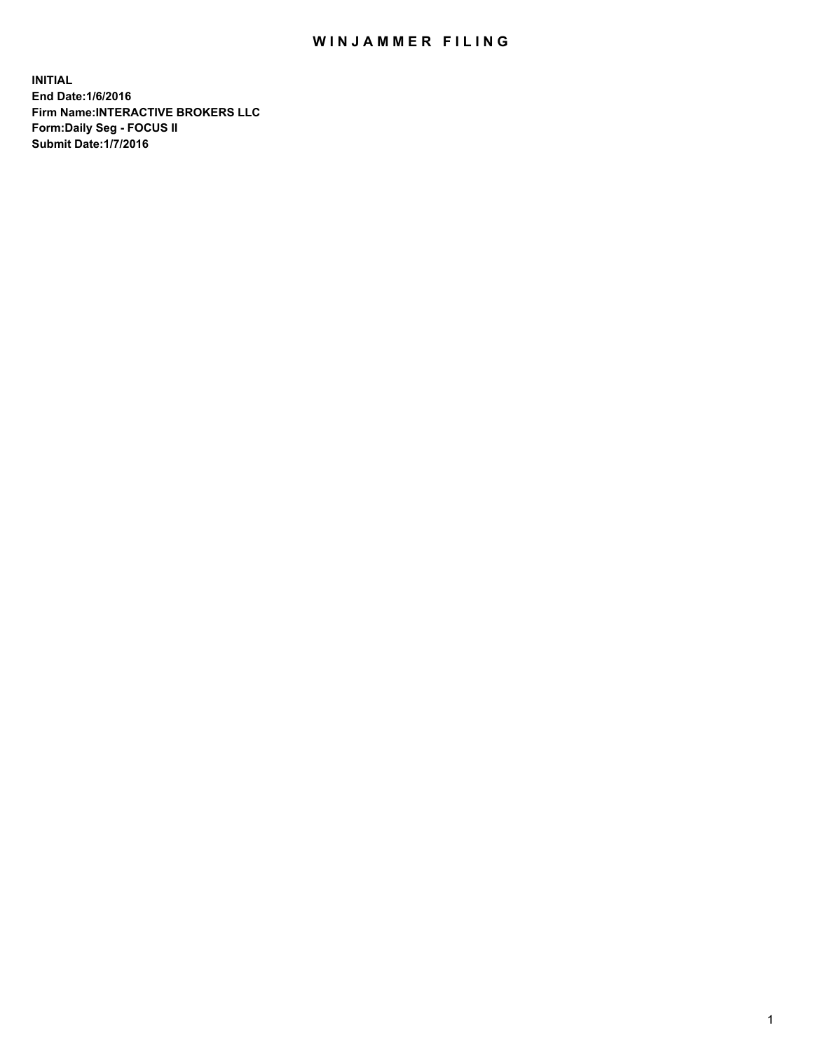## WIN JAMMER FILING

**INITIAL End Date:1/6/2016 Firm Name:INTERACTIVE BROKERS LLC Form:Daily Seg - FOCUS II Submit Date:1/7/2016**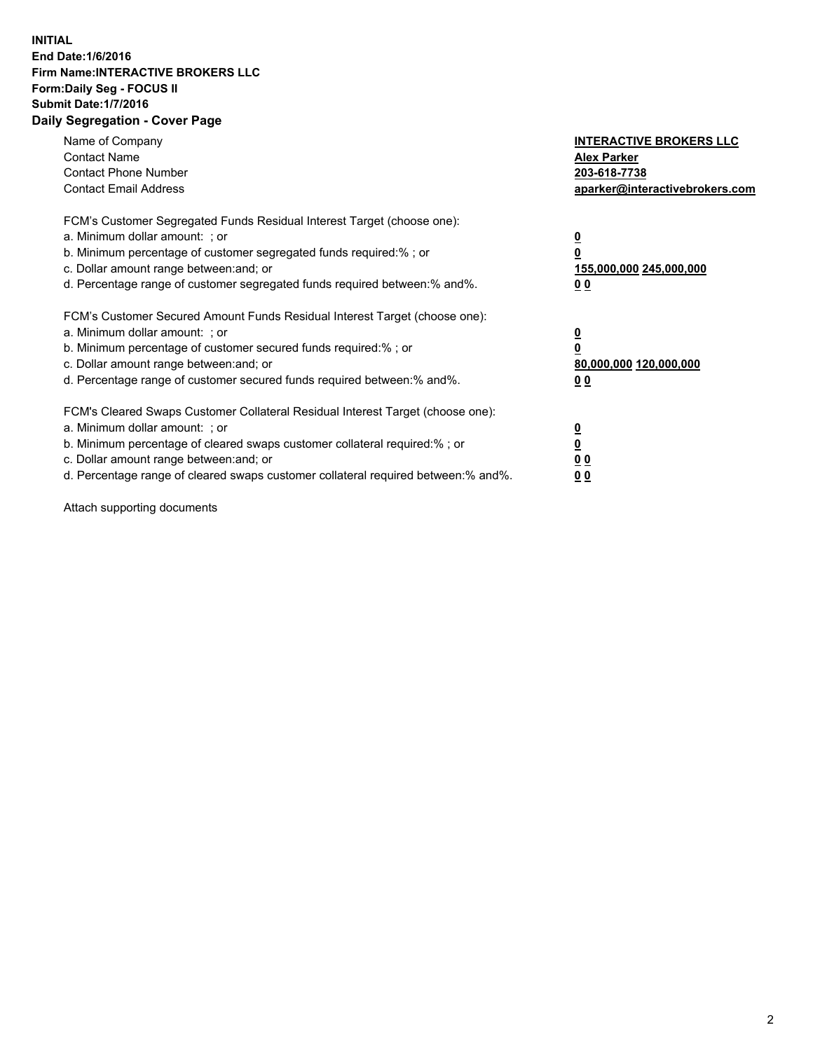## **INITIAL End Date:1/6/2016 Firm Name:INTERACTIVE BROKERS LLC Form:Daily Seg - FOCUS II Submit Date:1/7/2016 Daily Segregation - Cover Page**

| Name of Company<br><b>Contact Name</b><br><b>Contact Phone Number</b><br><b>Contact Email Address</b>                                                                                                                                                                                                                          | <b>INTERACTIVE BROKERS LLC</b><br><b>Alex Parker</b><br>203-618-7738<br>aparker@interactivebrokers.com |
|--------------------------------------------------------------------------------------------------------------------------------------------------------------------------------------------------------------------------------------------------------------------------------------------------------------------------------|--------------------------------------------------------------------------------------------------------|
| FCM's Customer Segregated Funds Residual Interest Target (choose one):<br>a. Minimum dollar amount: ; or<br>b. Minimum percentage of customer segregated funds required:%; or<br>c. Dollar amount range between: and; or<br>d. Percentage range of customer segregated funds required between:% and%.                          | <u>0</u><br>155,000,000 245,000,000<br><u>00</u>                                                       |
| FCM's Customer Secured Amount Funds Residual Interest Target (choose one):<br>a. Minimum dollar amount: ; or<br>b. Minimum percentage of customer secured funds required:%; or<br>c. Dollar amount range between: and; or<br>d. Percentage range of customer secured funds required between:% and%.                            | <u>0</u><br>80,000,000 120,000,000<br>0 <sub>0</sub>                                                   |
| FCM's Cleared Swaps Customer Collateral Residual Interest Target (choose one):<br>a. Minimum dollar amount: ; or<br>b. Minimum percentage of cleared swaps customer collateral required:% ; or<br>c. Dollar amount range between: and; or<br>d. Percentage range of cleared swaps customer collateral required between:% and%. | ₫<br>0 <sub>0</sub><br>0 <sub>0</sub>                                                                  |

Attach supporting documents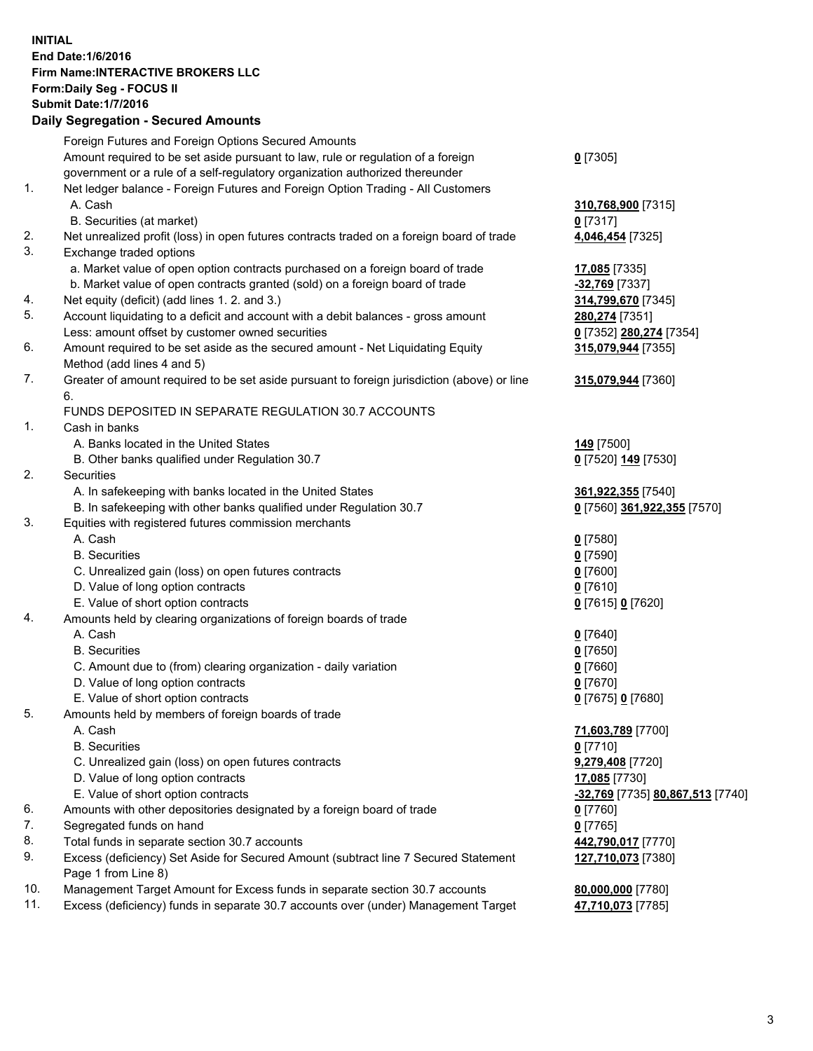## **INITIAL End Date:1/6/2016 Firm Name:INTERACTIVE BROKERS LLC Form:Daily Seg - FOCUS II Submit Date:1/7/2016 Daily Segregation - Secured Amounts**

|     | Foreign Futures and Foreign Options Secured Amounts                                         |                                  |
|-----|---------------------------------------------------------------------------------------------|----------------------------------|
|     | Amount required to be set aside pursuant to law, rule or regulation of a foreign            | $0$ [7305]                       |
|     | government or a rule of a self-regulatory organization authorized thereunder                |                                  |
| 1.  | Net ledger balance - Foreign Futures and Foreign Option Trading - All Customers             |                                  |
|     | A. Cash                                                                                     | 310,768,900 [7315]               |
|     | B. Securities (at market)                                                                   | $0$ [7317]                       |
| 2.  | Net unrealized profit (loss) in open futures contracts traded on a foreign board of trade   | 4,046,454 [7325]                 |
| 3.  | Exchange traded options                                                                     |                                  |
|     | a. Market value of open option contracts purchased on a foreign board of trade              | 17,085 [7335]                    |
|     | b. Market value of open contracts granted (sold) on a foreign board of trade                | -32,769 [7337]                   |
| 4.  | Net equity (deficit) (add lines 1. 2. and 3.)                                               | 314,799,670 [7345]               |
| 5.  | Account liquidating to a deficit and account with a debit balances - gross amount           | 280,274 [7351]                   |
|     | Less: amount offset by customer owned securities                                            | 0 [7352] 280,274 [7354]          |
| 6.  | Amount required to be set aside as the secured amount - Net Liquidating Equity              | 315,079,944 [7355]               |
|     | Method (add lines 4 and 5)                                                                  |                                  |
| 7.  | Greater of amount required to be set aside pursuant to foreign jurisdiction (above) or line | 315,079,944 [7360]               |
|     | 6.                                                                                          |                                  |
|     | FUNDS DEPOSITED IN SEPARATE REGULATION 30.7 ACCOUNTS                                        |                                  |
| 1.  | Cash in banks                                                                               |                                  |
|     | A. Banks located in the United States                                                       | 149 [7500]                       |
|     | B. Other banks qualified under Regulation 30.7                                              | 0 [7520] 149 [7530]              |
| 2.  | Securities                                                                                  |                                  |
|     | A. In safekeeping with banks located in the United States                                   | 361,922,355 [7540]               |
|     | B. In safekeeping with other banks qualified under Regulation 30.7                          | 0 [7560] 361,922,355 [7570]      |
| 3.  | Equities with registered futures commission merchants                                       |                                  |
|     | A. Cash                                                                                     | $0$ [7580]                       |
|     | <b>B.</b> Securities                                                                        | $0$ [7590]                       |
|     | C. Unrealized gain (loss) on open futures contracts                                         | $0$ [7600]                       |
|     | D. Value of long option contracts                                                           | $0$ [7610]                       |
|     | E. Value of short option contracts                                                          | 0 [7615] 0 [7620]                |
| 4.  | Amounts held by clearing organizations of foreign boards of trade                           |                                  |
|     | A. Cash                                                                                     | $0$ [7640]                       |
|     | <b>B.</b> Securities                                                                        | $0$ [7650]                       |
|     | C. Amount due to (from) clearing organization - daily variation                             | $0$ [7660]                       |
|     | D. Value of long option contracts                                                           | $0$ [7670]                       |
|     | E. Value of short option contracts                                                          | 0 [7675] 0 [7680]                |
| 5.  | Amounts held by members of foreign boards of trade                                          |                                  |
|     | A. Cash                                                                                     | 71,603,789 [7700]                |
|     | <b>B.</b> Securities                                                                        | $0$ [7710]                       |
|     | C. Unrealized gain (loss) on open futures contracts                                         |                                  |
|     | D. Value of long option contracts                                                           | 9,279,408 [7720]                 |
|     |                                                                                             | 17,085 [7730]                    |
|     | E. Value of short option contracts                                                          | -32,769 [7735] 80,867,513 [7740] |
| 6.  | Amounts with other depositories designated by a foreign board of trade                      | $0$ [7760]                       |
| 7.  | Segregated funds on hand                                                                    | $0$ [7765]                       |
| 8.  | Total funds in separate section 30.7 accounts                                               | 442,790,017 [7770]               |
| 9.  | Excess (deficiency) Set Aside for Secured Amount (subtract line 7 Secured Statement         | 127,710,073 [7380]               |
|     | Page 1 from Line 8)                                                                         |                                  |
| 10. | Management Target Amount for Excess funds in separate section 30.7 accounts                 | 80,000,000 [7780]                |
| 11. | Excess (deficiency) funds in separate 30.7 accounts over (under) Management Target          | 47,710,073 [7785]                |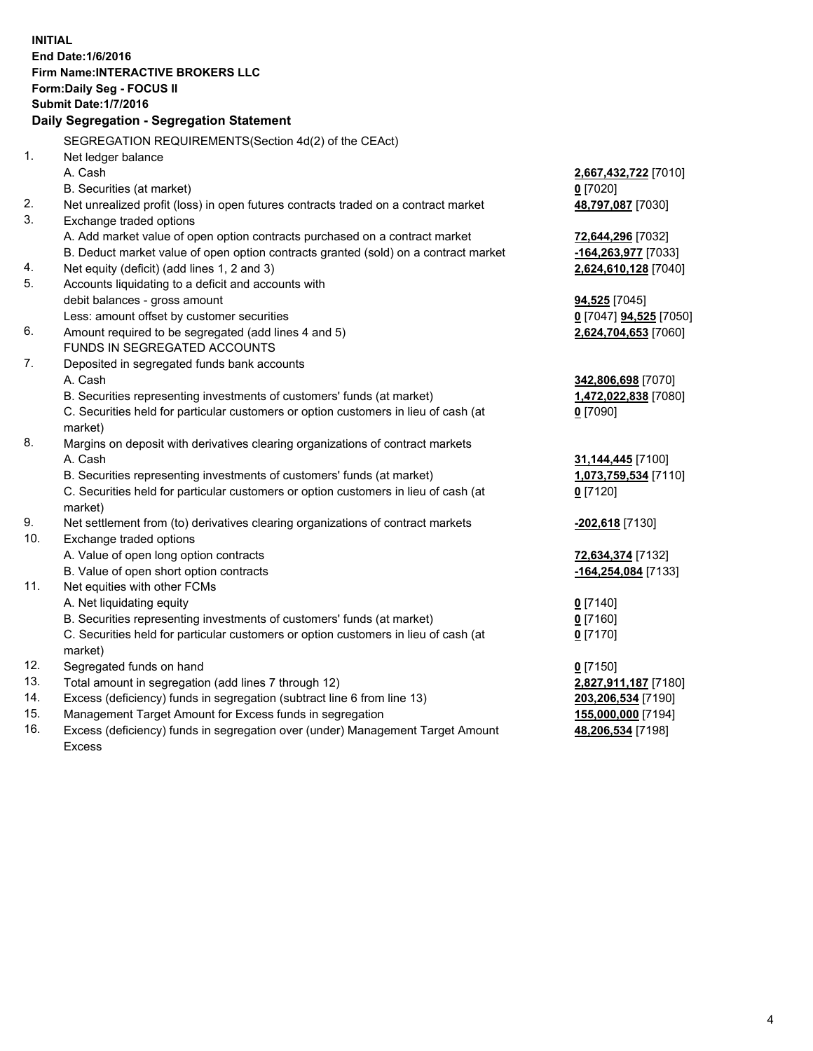**INITIAL End Date:1/6/2016 Firm Name:INTERACTIVE BROKERS LLC Form:Daily Seg - FOCUS II Submit Date:1/7/2016 Daily Segregation - Segregation Statement** SEGREGATION REQUIREMENTS(Section 4d(2) of the CEAct) 1. Net ledger balance A. Cash **2,667,432,722** [7010] B. Securities (at market) **0** [7020] 2. Net unrealized profit (loss) in open futures contracts traded on a contract market **48,797,087** [7030] 3. Exchange traded options A. Add market value of open option contracts purchased on a contract market **72,644,296** [7032] B. Deduct market value of open option contracts granted (sold) on a contract market **-164,263,977** [7033] 4. Net equity (deficit) (add lines 1, 2 and 3) **2,624,610,128** [7040] 5. Accounts liquidating to a deficit and accounts with debit balances - gross amount **94,525** [7045] Less: amount offset by customer securities **0** [7047] **94,525** [7050] 6. Amount required to be segregated (add lines 4 and 5) **2,624,704,653** [7060] FUNDS IN SEGREGATED ACCOUNTS 7. Deposited in segregated funds bank accounts A. Cash **342,806,698** [7070] B. Securities representing investments of customers' funds (at market) **1,472,022,838** [7080] C. Securities held for particular customers or option customers in lieu of cash (at market) **0** [7090] 8. Margins on deposit with derivatives clearing organizations of contract markets A. Cash **31,144,445** [7100] B. Securities representing investments of customers' funds (at market) **1,073,759,534** [7110] C. Securities held for particular customers or option customers in lieu of cash (at market) **0** [7120] 9. Net settlement from (to) derivatives clearing organizations of contract markets **-202,618** [7130] 10. Exchange traded options A. Value of open long option contracts **72,634,374** [7132] B. Value of open short option contracts **-164,254,084** [7133] 11. Net equities with other FCMs A. Net liquidating equity **0** [7140] B. Securities representing investments of customers' funds (at market) **0** [7160] C. Securities held for particular customers or option customers in lieu of cash (at market) **0** [7170] 12. Segregated funds on hand **0** [7150] 13. Total amount in segregation (add lines 7 through 12) **2,827,911,187** [7180] 14. Excess (deficiency) funds in segregation (subtract line 6 from line 13) **203,206,534** [7190] 15. Management Target Amount for Excess funds in segregation **155,000,000** [7194] **48,206,534** [7198]

16. Excess (deficiency) funds in segregation over (under) Management Target Amount Excess